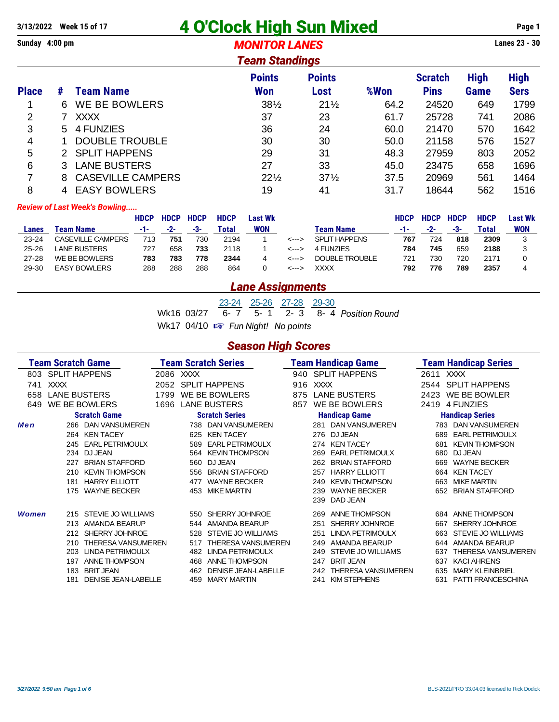## **3/13/2022 Week 15 of 17 4 O'Clock High Sun Mixed Page 1**

**Sunday 4:00 pm** *MONITOR LANES* **Lanes 23 - 30**

### *Team Standings*

|              | I SAIII SWIMIIYO |                          |                             |                       |      |                               |                            |                            |  |  |  |  |  |
|--------------|------------------|--------------------------|-----------------------------|-----------------------|------|-------------------------------|----------------------------|----------------------------|--|--|--|--|--|
| <b>Place</b> | #                | <b>Team Name</b>         | <b>Points</b><br><b>Won</b> | <b>Points</b><br>Lost | %Won | <b>Scratch</b><br><b>Pins</b> | <b>High</b><br><b>Game</b> | <b>High</b><br><b>Sers</b> |  |  |  |  |  |
|              | 6.               | <b>WE BE BOWLERS</b>     | $38\frac{1}{2}$             | $21\frac{1}{2}$       | 64.2 | 24520                         | 649                        | 1799                       |  |  |  |  |  |
| 2            |                  | <b>XXXX</b>              | 37                          | 23                    | 61.7 | 25728                         | 741                        | 2086                       |  |  |  |  |  |
| 3            | 5.               | 4 FUNZIES                | 36                          | 24                    | 60.0 | 21470                         | 570                        | 1642                       |  |  |  |  |  |
| 4            |                  | <b>DOUBLE TROUBLE</b>    | 30                          | 30                    | 50.0 | 21158                         | 576                        | 1527                       |  |  |  |  |  |
| 5            | 2.               | <b>SPLIT HAPPENS</b>     | 29                          | 31                    | 48.3 | 27959                         | 803                        | 2052                       |  |  |  |  |  |
| 6            |                  | <b>LANE BUSTERS</b>      | 27                          | 33                    | 45.0 | 23475                         | 658                        | 1696                       |  |  |  |  |  |
| 7            | 8                | <b>CASEVILLE CAMPERS</b> | $22\frac{1}{2}$             | $37\frac{1}{2}$       | 37.5 | 20969                         | 561                        | 1464                       |  |  |  |  |  |
| 8            |                  | <b>EASY BOWLERS</b>      | 19                          | 41                    | 31.7 | 18644                         | 562                        | 1516                       |  |  |  |  |  |

#### *Review of Last Week's Bowling.....*

|           |                     | <b>HDCP</b> | <b>HDCP</b> | <b>HDCP</b> | <b>HDCP</b> | Last Wk    |       |                      | <b>HDCP</b> | <b>HDCP</b> | <b>HDCP</b> | <b>HDCP</b> | Last Wk |
|-----------|---------------------|-------------|-------------|-------------|-------------|------------|-------|----------------------|-------------|-------------|-------------|-------------|---------|
| Lanes     | Team Name           | -1-         | -2-         | -3-         | Total       | <b>WON</b> |       | Team Name            | - 1 -       | -2-         | -3-         | Total       | WON     |
| $23 - 24$ | CASEVILLE CAMPERS   |             | 751         | 730         | 2194        |            | <---> | <b>SPLIT HAPPENS</b> | 767         | 724         | 818         | 2309        |         |
| $25 - 26$ | LANE BUSTERS        | 727         | 658         | 733         | 2118        |            | <---> | 4 FUNZIES            | 784         | 745         | 659         | 2188        |         |
| $27 - 28$ | WE BE BOWLERS       | 783         | 783         | 778         | 2344        | 4          | <---> | DOUBLE TROUBLE       | 721         | 730         | 720         | 2171        |         |
| 29-30     | <b>EASY BOWLERS</b> | 288         | 288         | 288         | 864         |            | <---> | <b>XXXX</b>          | 792         | 776         | 789         | 2357        |         |

### *Lane Assignments*

23-24 25-26 27-28 29-30 Wk16 03/27 6- 7 5- 1 2- 3 8- 4 *Position Round* Wk17 04/10  $\mathbb{R}$  *Fun Night!* No points

#### *Season High Scores*

|              | Team Scratch Game   |                            |           |                     | <b>Team Scratch Series</b> |                            |     | <b>Team Handicap Game</b> |              | <b>Team Handicap Series</b> |
|--------------|---------------------|----------------------------|-----------|---------------------|----------------------------|----------------------------|-----|---------------------------|--------------|-----------------------------|
|              | 803 SPLIT HAPPENS   |                            | 2086 XXXX |                     |                            |                            |     | 940 SPLIT HAPPENS         | 2611 XXXX    |                             |
| 741          | <b>XXXX</b>         |                            | 2052      |                     | <b>SPLIT HAPPENS</b>       | XXXX<br>916                |     |                           |              | 2544 SPLIT HAPPENS          |
| 658          | <b>LANE BUSTERS</b> |                            | 1799      | WE BE BOWLERS       |                            | <b>LANE BUSTERS</b><br>875 |     | 2423                      | WE BE BOWLER |                             |
| 649          | WE BE BOWLERS       |                            | 1696      | <b>LANE BUSTERS</b> |                            | WE BE BOWLERS<br>857       |     |                           | 2419         | 4 FUNZIES                   |
|              |                     | <b>Scratch Game</b>        |           |                     | <b>Scratch Series</b>      |                            |     | <b>Handicap Game</b>      |              | <b>Handicap Series</b>      |
| Men          | 266                 | <b>DAN VANSUMEREN</b>      |           |                     | 738 DAN VANSUMEREN         |                            | 281 | <b>DAN VANSUMEREN</b>     |              | 783 DAN VANSUMEREN          |
|              | 264                 | <b>KEN TACEY</b>           |           | 625                 | <b>KEN TACEY</b>           |                            | 276 | DJ JEAN                   | 689          | <b>EARL PETRIMOULX</b>      |
|              |                     | 245 EARL PETRIMOULX        |           | 589                 | <b>EARL PETRIMOULX</b>     |                            | 274 | <b>KEN TACEY</b>          | 681          | <b>KEVIN THOMPSON</b>       |
|              |                     | 234 DJ JEAN                |           | 564                 | <b>KEVIN THOMPSON</b>      |                            | 269 | <b>EARL PETRIMOULX</b>    | 680          | DJ JEAN                     |
|              | 227                 | <b>BRIAN STAFFORD</b>      |           | 560                 | DJ JEAN                    |                            | 262 | <b>BRIAN STAFFORD</b>     | 669          | <b>WAYNE BECKER</b>         |
|              | 210                 | <b>KEVIN THOMPSON</b>      |           | 556                 | <b>BRIAN STAFFORD</b>      |                            | 257 | <b>HARRY ELLIOTT</b>      | 664          | <b>KEN TACEY</b>            |
|              | 181                 | <b>HARRY ELLIOTT</b>       |           | 477                 | <b>WAYNE BECKER</b>        |                            | 249 | <b>KEVIN THOMPSON</b>     | 663          | <b>MIKE MARTIN</b>          |
|              | 175                 | <b>WAYNE BECKER</b>        |           | 453                 | <b>MIKE MARTIN</b>         |                            | 239 | <b>WAYNE BECKER</b>       | 652          | <b>BRIAN STAFFORD</b>       |
|              |                     |                            |           |                     |                            |                            | 239 | DAD JEAN                  |              |                             |
| <b>Women</b> |                     | 215 STEVIE JO WILLIAMS     |           | 550                 | SHERRY JOHNROE             |                            | 269 | <b>ANNE THOMPSON</b>      |              | 684 ANNE THOMPSON           |
|              |                     | 213 AMANDA BEARUP          |           | 544                 | AMANDA BEARUP              |                            | 251 | SHERRY JOHNROE            | 667          | SHERRY JOHNROE              |
|              |                     | 212 SHERRY JOHNROE         |           | 528                 | <b>STEVIE JO WILLIAMS</b>  |                            | 251 | <b>LINDA PETRIMOULX</b>   | 663          | <b>STEVIE JO WILLIAMS</b>   |
|              | 210                 | <b>THERESA VANSUMEREN</b>  |           | 517                 | <b>THERESA VANSUMEREN</b>  |                            | 249 | AMANDA BEARUP             | 644          | AMANDA BEARUP               |
|              | 203                 | LINDA PETRIMOULX           |           | 482                 | LINDA PETRIMOULX           |                            | 249 | STEVIE JO WILLIAMS        | 637          | <b>THERESA VANSUMEREN</b>   |
|              | 197                 | <b>ANNE THOMPSON</b>       |           | 468                 | <b>ANNE THOMPSON</b>       |                            | 247 | <b>BRIT JEAN</b>          | 637          | <b>KACI AHRENS</b>          |
|              | 183                 | <b>BRIT JEAN</b>           |           | 462                 | <b>DENISE JEAN-LABELLE</b> |                            | 242 | <b>THERESA VANSUMEREN</b> | 635          | <b>MARY KLEINBRIEL</b>      |
|              | 181                 | <b>DENISE JEAN-LABELLE</b> |           | 459                 | <b>MARY MARTIN</b>         |                            | 241 | <b>KIM STEPHENS</b>       |              | 631 PATTI FRANCESCHINA      |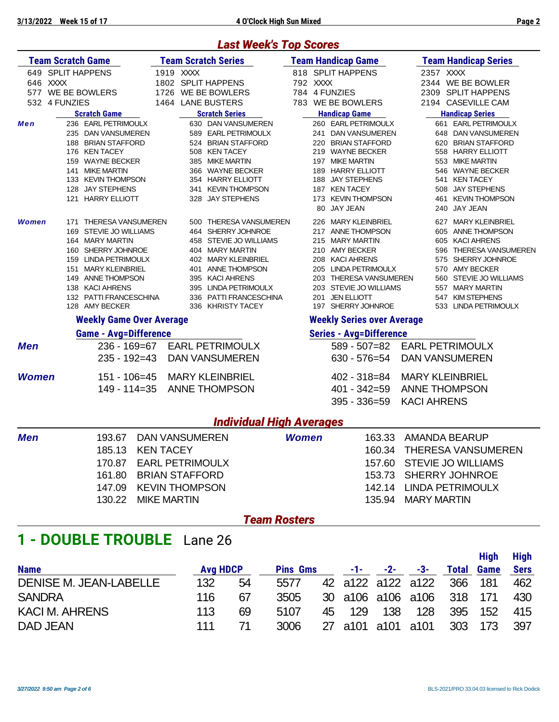### *Last Week's Top Scores*

|              | <b>Team Scratch Game</b>         |           | <b>Team Scratch Series</b> |     |          | <b>Team Handicap Game</b>         | Team Handicap Series             |
|--------------|----------------------------------|-----------|----------------------------|-----|----------|-----------------------------------|----------------------------------|
|              | 649 SPLIT HAPPENS                | 1919 XXXX |                            |     |          | 818 SPLIT HAPPENS                 | 2357 XXXX                        |
|              | 646 XXXX                         |           | 1802 SPLIT HAPPENS         |     | 792 XXXX |                                   | 2344 WE BE BOWLER                |
| 577          | WE BE BOWLERS                    | 1726      | WE BE BOWLERS              |     |          | 784 4 FUNZIES                     | 2309 SPLIT HAPPENS               |
| 532          | 4 FUNZIES                        | 1464      | <b>LANE BUSTERS</b>        | 783 |          | WE BE BOWLERS                     | 2194 CASEVILLE CAM               |
|              | <b>Scratch Game</b>              |           | <b>Scratch Series</b>      |     |          | <b>Handicap Game</b>              | <b>Handicap Series</b>           |
| Men          | 236 EARL PETRIMOULX              |           | 630 DAN VANSUMEREN         |     |          | 260 EARL PETRIMOULX               | 661 EARL PETRIMOULX              |
|              | <b>DAN VANSUMEREN</b><br>235     |           | 589 EARL PETRIMOULX        |     | 241      | <b>DAN VANSUMEREN</b>             | 648 DAN VANSUMEREN               |
|              | <b>BRIAN STAFFORD</b><br>188     |           | 524 BRIAN STAFFORD         |     | 220      | <b>BRIAN STAFFORD</b>             | <b>BRIAN STAFFORD</b><br>620     |
|              | <b>KEN TACEY</b><br>176          |           | 508 KEN TACEY              |     |          | 219 WAYNE BECKER                  | 558 HARRY ELLIOTT                |
|              | <b>WAYNE BECKER</b><br>159       |           | <b>MIKE MARTIN</b><br>385  |     | 197      | <b>MIKE MARTIN</b>                | <b>MIKE MARTIN</b><br>553        |
|              | <b>MIKE MARTIN</b><br>141        |           | <b>WAYNE BECKER</b><br>366 |     | 189      | <b>HARRY ELLIOTT</b>              | <b>WAYNE BECKER</b><br>546       |
|              | 133<br><b>KEVIN THOMPSON</b>     |           | 354 HARRY ELLIOTT          |     | 188      | <b>JAY STEPHENS</b>               | <b>KEN TACEY</b><br>541          |
|              | <b>JAY STEPHENS</b><br>128       |           | 341 KEVIN THOMPSON         |     | 187      | <b>KEN TACEY</b>                  | <b>JAY STEPHENS</b><br>508       |
|              | <b>HARRY ELLIOTT</b><br>121      |           | 328 JAY STEPHENS           |     |          | 173 KEVIN THOMPSON                | 461<br><b>KEVIN THOMPSON</b>     |
|              |                                  |           |                            |     | 80       | <b>JAY JEAN</b>                   | <b>JAY JEAN</b><br>240           |
| <b>Women</b> | <b>THERESA VANSUMEREN</b><br>171 |           | 500 THERESA VANSUMEREN     |     | 226      | <b>MARY KLEINBRIEL</b>            | <b>MARY KLEINBRIEL</b><br>627    |
|              | <b>STEVIE JO WILLIAMS</b><br>169 |           | SHERRY JOHNROE<br>464      |     | 217      | <b>ANNE THOMPSON</b>              | <b>ANNE THOMPSON</b><br>605      |
|              | 164 MARY MARTIN                  |           | STEVIE JO WILLIAMS<br>458  |     |          | 215 MARY MARTIN                   | <b>KACI AHRENS</b><br>605        |
|              | SHERRY JOHNROE<br>160            |           | 404 MARY MARTIN            |     | 210      | <b>AMY BECKER</b>                 | <b>THERESA VANSUMEREN</b><br>596 |
|              | <b>LINDA PETRIMOULX</b><br>159   | 402       | <b>MARY KLEINBRIEL</b>     |     | 208      | <b>KACI AHRENS</b>                | SHERRY JOHNROE<br>575            |
|              | <b>MARY KLEINBRIEL</b><br>151    | 401       | <b>ANNE THOMPSON</b>       |     | 205      | <b>LINDA PETRIMOULX</b>           | <b>AMY BECKER</b><br>570         |
|              | <b>ANNE THOMPSON</b><br>149      |           | <b>KACI AHRENS</b><br>395  |     | 203      | <b>THERESA VANSUMEREN</b>         | 560 STEVIE JO WILLIAMS           |
|              | <b>KACI AHRENS</b><br>138        |           | 395 LINDA PETRIMOULX       |     | 203      | <b>STEVIE JO WILLIAMS</b>         | <b>MARY MARTIN</b><br>557        |
|              | 132 PATTI FRANCESCHINA           |           | 336 PATTI FRANCESCHINA     |     | 201      | <b>JEN ELLIOTT</b>                | <b>KIM STEPHENS</b><br>547       |
|              | 128 AMY BECKER                   |           | 336 KHRISTY TACEY          |     | 197      | SHERRY JOHNROE                    | 533 LINDA PETRIMOULX             |
|              | <b>Weekly Game Over Average</b>  |           |                            |     |          | <b>Weekly Series over Average</b> |                                  |
|              | <b>Game - Avg=Difference</b>     |           |                            |     |          | <b>Series - Avg=Difference</b>    |                                  |
| Men          | $236 - 169 = 67$                 |           | <b>EARL PETRIMOULX</b>     |     |          | $589 - 507 = 82$                  | <b>EARL PETRIMOULX</b>           |
|              | $235 - 192 = 43$                 |           | <b>DAN VANSUMEREN</b>      |     |          | $630 - 576 = 54$                  | <b>DAN VANSUMEREN</b>            |

|              | <b>LOU - 192-40 LONN VANOUMLINEN</b>                       | <b>UJU - JI U-J4 LIAN VANJUNLINLI</b>                          |
|--------------|------------------------------------------------------------|----------------------------------------------------------------|
| <b>Women</b> | 151 - 106=45 MARY KLEINBRIEL<br>149 - 114=35 ANNE THOMPSON | $402 - 318 = 84$ MARY KLEINBRIEL<br>401 - 342=59 ANNE THOMPSON |
|              |                                                            |                                                                |

## 395 - 336=59 KACI AHRENS

|     | <b>Individual High Averages</b> |                        |              |        |                           |  |  |  |  |  |  |  |  |  |
|-----|---------------------------------|------------------------|--------------|--------|---------------------------|--|--|--|--|--|--|--|--|--|
| Men | 193.67                          | DAN VANSUMEREN         | <b>Women</b> |        | 163.33 AMANDA BEARUP      |  |  |  |  |  |  |  |  |  |
|     |                                 | 185.13 KEN TACEY       |              |        | 160.34 THERESA VANSUMEREN |  |  |  |  |  |  |  |  |  |
|     | 170.87                          | <b>EARL PETRIMOULX</b> |              |        | 157.60 STEVIE JO WILLIAMS |  |  |  |  |  |  |  |  |  |
|     |                                 | 161.80 BRIAN STAFFORD  |              |        | 153.73 SHERRY JOHNROE     |  |  |  |  |  |  |  |  |  |
|     |                                 | 147.09 KEVIN THOMPSON  |              | 142.14 | LINDA PETRIMOULX          |  |  |  |  |  |  |  |  |  |
|     |                                 | 130.22 MIKE MARTIN     |              | 135.94 | MARY MARTIN               |  |  |  |  |  |  |  |  |  |

### *Team Rosters*

## **1 - DOUBLE TROUBLE** Lane 26

|     |    |                 |                 |     |            |                   | Hiah              | <b>High</b>                                                               |
|-----|----|-----------------|-----------------|-----|------------|-------------------|-------------------|---------------------------------------------------------------------------|
|     |    |                 |                 |     | -3-        | <b>Total</b>      |                   | <b>Sers</b>                                                               |
| 132 | 54 | 5577            |                 |     |            |                   |                   | 462                                                                       |
| 116 | 67 | 3505            |                 |     |            |                   |                   | 430                                                                       |
| 113 | 69 | 5107            | 129             | 138 | 128        |                   |                   | 415                                                                       |
| 111 |    | 3006            |                 |     |            |                   |                   | 397                                                                       |
|     |    | <b>Avg HDCP</b> | <b>Pins Gms</b> | 45  | $-1 - 2 -$ | 27 a101 a101 a101 | 42 a122 a122 a122 | <b>Game</b><br>366 181<br>30 a106 a106 a106 318 171<br>395 152<br>303 173 |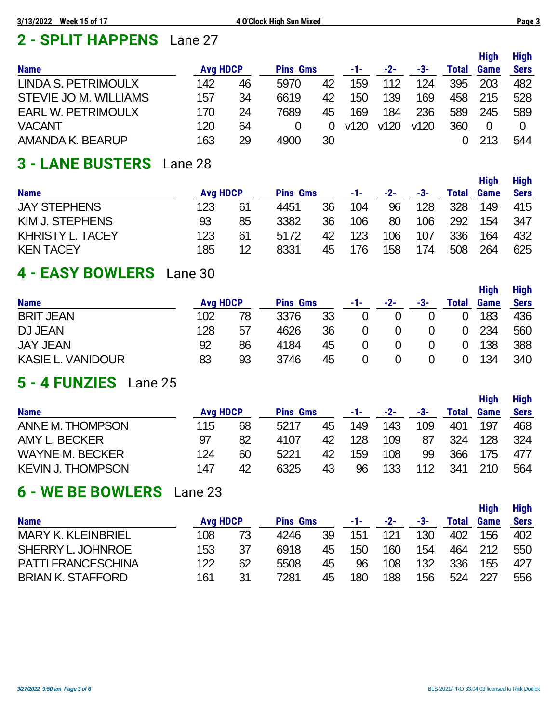# **2 - SPLIT HAPPENS** Lane 27

|                           |                 |    |                 |          |      |       |      |       | <b>High</b> | <b>High</b> |
|---------------------------|-----------------|----|-----------------|----------|------|-------|------|-------|-------------|-------------|
| <b>Name</b>               | <b>Avg HDCP</b> |    | <b>Pins Gms</b> |          | -1-  | $-2-$ | -3-  | Total | <b>Game</b> | <b>Sers</b> |
| LINDA S. PETRIMOULX       | 142             | 46 | 5970            | 42       | 159  | 112   | 124  | 395   | 203         | 482         |
| STEVIE JO M. WILLIAMS     | 157             | 34 | 6619            | 42       | 150  | 139   | 169  | 458   | 215         | 528         |
| <b>EARL W. PETRIMOULX</b> | 170             | 24 | 7689            | 45       | 169  | 184   | 236  | 589   | 245         | 589         |
| <b>VACANT</b>             | 120             | 64 |                 | $\Omega$ | v120 | v120  | v120 | 360   | 0           |             |
| AMANDA K. BEARUP          | 163             | 29 | 4900            | 30       |      |       |      |       | 213         | 544         |

# **3 - LANE BUSTERS** Lane 28

|                         |     |                 |      |                 |     |       |     |       | <b>High</b> | <b>High</b> |
|-------------------------|-----|-----------------|------|-----------------|-----|-------|-----|-------|-------------|-------------|
| <b>Name</b>             |     | <b>Avg HDCP</b> |      | <b>Pins Gms</b> |     | $-2-$ | -3- | Total | Game        | <b>Sers</b> |
| <b>JAY STEPHENS</b>     | 123 | 61              | 4451 | 36              | 104 | 96    | 128 | 328   | 149         | 415         |
| KIM J. STEPHENS         | 93  | 85              | 3382 | 36              | 106 | 80    | 106 | 292   | 154         | 347         |
| <b>KHRISTY L. TACEY</b> | 123 | 61              | 5172 | 42              | 123 | 106   | 107 | 336   | 164         | 432         |
| <b>KEN TACEY</b>        | 185 | 12              | 8331 | 45              | 176 | 158   | 174 | 508   | 264         | 625         |

## **4 - EASY BOWLERS** Lane 30

|                          |                 |    |                 |    |     |       |     |       | <b>High</b> | <b>High</b> |
|--------------------------|-----------------|----|-----------------|----|-----|-------|-----|-------|-------------|-------------|
| <b>Name</b>              | <b>Avg HDCP</b> |    | <b>Pins Gms</b> |    | -1- | $-2-$ | -3- | Total | Game        | <b>Sers</b> |
| <b>BRIT JEAN</b>         | 102             | 78 | 3376            | 33 | 0   |       |     |       | 183         | 436         |
| DJ JEAN                  | 128             | 57 | 4626            | 36 | 0   |       |     |       | 234         | 560         |
| <b>JAY JEAN</b>          | 92              | 86 | 4184            | 45 | 0   |       |     |       | 138         | 388         |
| <b>KASIE L. VANIDOUR</b> | 83              | 93 | 3746            | 45 | 0   |       |     |       | 134         | 340         |

## **5 - 4 FUNZIES** Lane 25

|                          |     |                 |      |                 |     |       |     |       | <b>High</b> | <b>High</b> |
|--------------------------|-----|-----------------|------|-----------------|-----|-------|-----|-------|-------------|-------------|
| <b>Name</b>              |     | <b>Avg HDCP</b> |      | <b>Pins Gms</b> |     | $-2-$ | -3- | Total | Game        | <b>Sers</b> |
| <b>ANNE M. THOMPSON</b>  | 115 | 68              | 5217 | 45              | 149 | 143   | 109 | 401   | 197         | 468         |
| AMY L. BECKER            | 97  | 82              | 4107 | 42              | 128 | 109   | 87  | 324   | 128         | 324         |
| <b>WAYNE M. BECKER</b>   | 124 | 60              | 5221 | 42              | 159 | 108   | 99  | 366   | 175         | 477         |
| <b>KEVIN J. THOMPSON</b> | 147 | 42              | 6325 | 43              | 96  | 133   | 112 | 341   | 210         | 564         |

## **6 - WE BE BOWLERS** Lane 23

|                           |                 |    |                 |    |     |       |     |       | Hiah        | <b>High</b> |
|---------------------------|-----------------|----|-----------------|----|-----|-------|-----|-------|-------------|-------------|
| <b>Name</b>               | <b>Avg HDCP</b> |    | <b>Pins Gms</b> |    | -1- | $-2-$ | -3- | Total | <b>Game</b> | <b>Sers</b> |
| <b>MARY K. KLEINBRIEL</b> | 108             | 73 | 4246            | 39 | 151 | 121   | 130 | 402   | 156         | 402         |
| SHERRY L. JOHNROE         | 153             | 37 | 6918            | 45 | 150 | 160   | 154 | 464   | 212         | 550         |
| <b>PATTI FRANCESCHINA</b> | 122             | 62 | 5508            | 45 | 96  | 108   | 132 | 336   | 155         | 427         |
| <b>BRIAN K. STAFFORD</b>  | 161             | 31 | 7281            | 45 | 180 | 188   | 156 | 524   | 227         | 556         |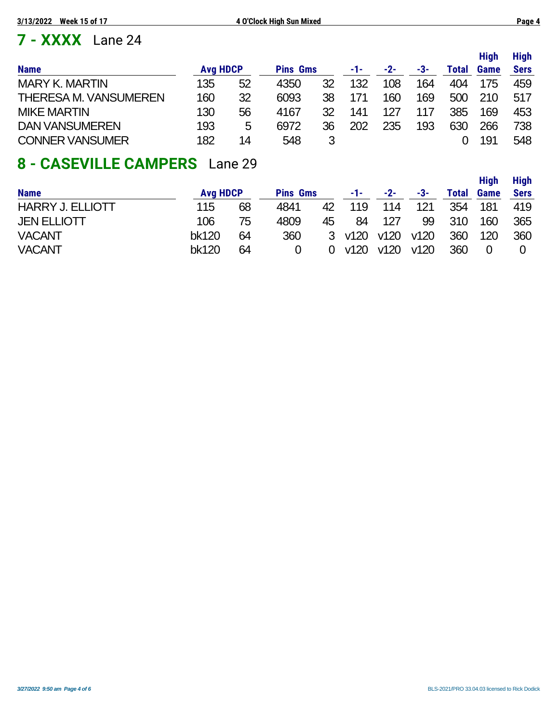# **7 - XXXX** Lane 24

|                              |                 |    |                 |    |     |       |     |       | <b>High</b> | <b>High</b> |
|------------------------------|-----------------|----|-----------------|----|-----|-------|-----|-------|-------------|-------------|
| <b>Name</b>                  | <b>Avg HDCP</b> |    | <b>Pins Gms</b> |    | -1- | $-2-$ | -3- | Total | Game        | <b>Sers</b> |
| <b>MARY K. MARTIN</b>        | 135             | 52 | 4350            | 32 | 132 | 108   | 164 | 404   | 175         | 459         |
| <b>THERESA M. VANSUMEREN</b> | 160             | 32 | 6093            | 38 |     | 160   | 169 | 500   | 210         | 517         |
| <b>MIKE MARTIN</b>           | 130             | 56 | 4167            | 32 | 141 | 127   | 117 | 385   | 169         | 453         |
| <b>DAN VANSUMEREN</b>        | 193             | 5  | 6972            | 36 | 202 | 235   | 193 | 630   | 266         | 738         |
| <b>CONNER VANSUMER</b>       | 182             | 14 | 548             | 3  |     |       |     |       | 191         | 548         |

## **8 - CASEVILLE CAMPERS** Lane 29

|                         |       |                 |      |                 |        |       |      |       | <b>High</b> | <b>High</b> |  |
|-------------------------|-------|-----------------|------|-----------------|--------|-------|------|-------|-------------|-------------|--|
| <b>Name</b>             |       | <b>Avg HDCP</b> |      | <b>Pins Gms</b> |        | $-2-$ | -3-  | Total | Game        | <b>Sers</b> |  |
| <b>HARRY J. ELLIOTT</b> | 115   | 68              | 4841 | 42              | 119    | 114   | 121  | 354   | 181         | 419         |  |
| <b>JEN ELLIOTT</b>      | 106   | 75              | 4809 | 45              | 84     | 127   | 99   | 310   | 160         | 365         |  |
| <b>VACANT</b>           | bk120 | 64              | 360  |                 | 3 v120 | v120  | v120 | 360   | 120         | 360         |  |
| <b>VACANT</b>           | bk120 | 64              |      | 0               | v120   | v120  | v120 | 360   | 0           |             |  |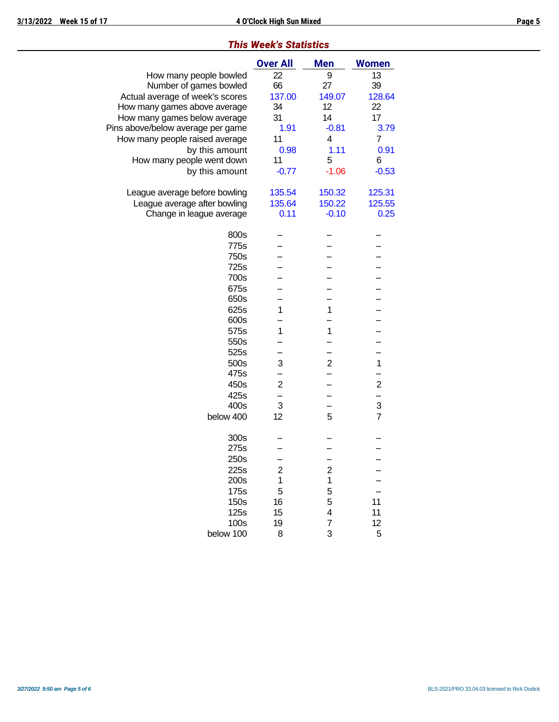### *This Week's Statistics*

|                                   | <b>Over All</b>         | <b>Men</b>              | <b>Women</b>   |
|-----------------------------------|-------------------------|-------------------------|----------------|
| How many people bowled            | 22                      | 9                       | 13             |
| Number of games bowled            | 66                      | 27                      | 39             |
| Actual average of week's scores   | 137.00                  | 149.07                  | 128.64         |
| How many games above average      | 34                      | 12                      | 22             |
| How many games below average      | 31                      | 14                      | 17             |
| Pins above/below average per game | 1.91                    | $-0.81$                 | 3.79           |
| How many people raised average    | 11                      | 4                       | 7              |
| by this amount                    | 0.98                    | 1.11                    | 0.91           |
| How many people went down         | 11                      | 5                       | 6              |
| by this amount                    | $-0.77$                 | $-1.06$                 | $-0.53$        |
| League average before bowling     | 135.54                  | 150.32                  | 125.31         |
| League average after bowling      | 135.64                  | 150.22                  | 125.55         |
| Change in league average          | 0.11                    | $-0.10$                 | 0.25           |
| 800s                              |                         |                         |                |
| 775s                              |                         |                         |                |
| 750s                              |                         |                         |                |
| 725s                              |                         |                         |                |
| 700s                              |                         |                         |                |
| 675s                              |                         |                         |                |
| 650s                              |                         |                         |                |
| 625s                              | 1                       | 1                       |                |
| 600s                              |                         |                         |                |
| 575s                              | 1                       | 1                       |                |
| 550s                              |                         |                         |                |
| 525s                              |                         |                         |                |
| 500s                              | 3                       | $\overline{2}$          | 1              |
| 475s                              |                         |                         |                |
| 450s                              | $\overline{2}$          |                         | $\overline{c}$ |
| 425s<br>400s                      | 3                       |                         | --<br>3        |
| below 400                         | 12                      | 5                       | $\overline{7}$ |
|                                   |                         |                         |                |
| 300s                              |                         |                         |                |
| 275s                              |                         |                         |                |
| 250s                              |                         |                         |                |
| 225s                              | $\overline{\mathbf{c}}$ | $\overline{\mathbf{c}}$ |                |
| 200s                              | 1                       | $\mathbf 1$             |                |
| 175s                              | 5                       | 5                       |                |
| 150s                              | 16                      | 5                       | 11             |
| 125s                              | 15                      | 4                       | 11             |
| 100s                              | 19                      | 7                       | 12             |
| below 100                         | 8                       | 3                       | 5              |